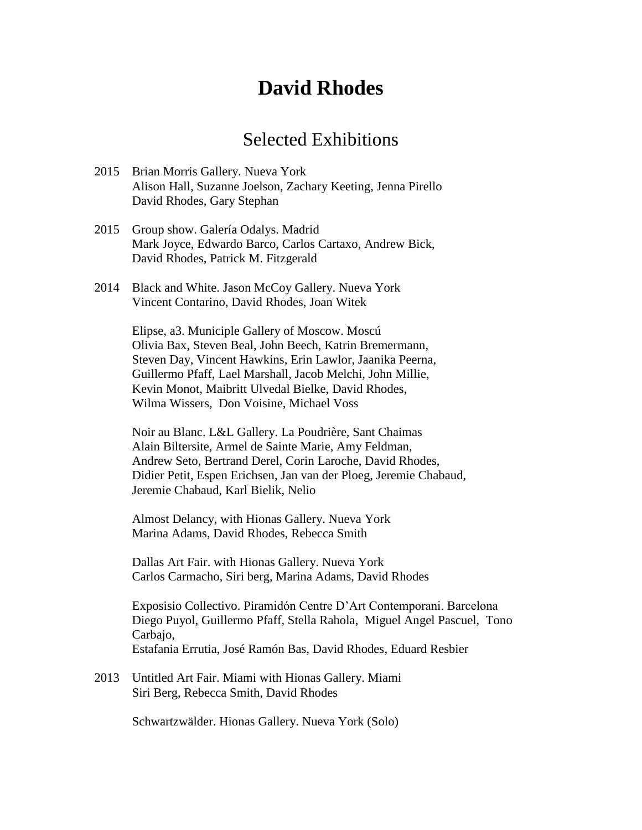# **David Rhodes**

#### Selected Exhibitions

- 2015 Brian Morris Gallery. Nueva York Alison Hall, Suzanne Joelson, Zachary Keeting, Jenna Pirello David Rhodes, Gary Stephan
- 2015 Group show. Galería Odalys. Madrid Mark Joyce, Edwardo Barco, Carlos Cartaxo, Andrew Bick, David Rhodes, Patrick M. Fitzgerald
- 2014 Black and White. Jason McCoy Gallery. Nueva York Vincent Contarino, David Rhodes, Joan Witek

Elipse, a3. Municiple Gallery of Moscow. Moscú Olivia Bax, Steven Beal, John Beech, Katrin Bremermann, Steven Day, Vincent Hawkins, Erin Lawlor, Jaanika Peerna, Guillermo Pfaff, Lael Marshall, Jacob Melchi, John Millie, Kevin Monot, Maibritt Ulvedal Bielke, David Rhodes, Wilma Wissers, Don Voisine, Michael Voss

Noir au Blanc. L&L Gallery. La Poudrière, Sant Chaimas Alain Biltersite, Armel de Sainte Marie, Amy Feldman, Andrew Seto, Bertrand Derel, Corin Laroche, David Rhodes, Didier Petit, Espen Erichsen, Jan van der Ploeg, Jeremie Chabaud, Jeremie Chabaud, Karl Bielik, Nelio

Almost Delancy, with Hionas Gallery. Nueva York Marina Adams, David Rhodes, Rebecca Smith

Dallas Art Fair. with Hionas Gallery. Nueva York Carlos Carmacho, Siri berg, Marina Adams, David Rhodes

Exposisio Collectivo. Piramidón Centre D'Art Contemporani. Barcelona Diego Puyol, Guillermo Pfaff, Stella Rahola, Miguel Angel Pascuel, Tono Carbajo, Estafania Errutia, José Ramón Bas, David Rhodes, Eduard Resbier

2013 Untitled Art Fair. Miami with Hionas Gallery. Miami Siri Berg, Rebecca Smith, David Rhodes

Schwartzwälder. Hionas Gallery. Nueva York (Solo)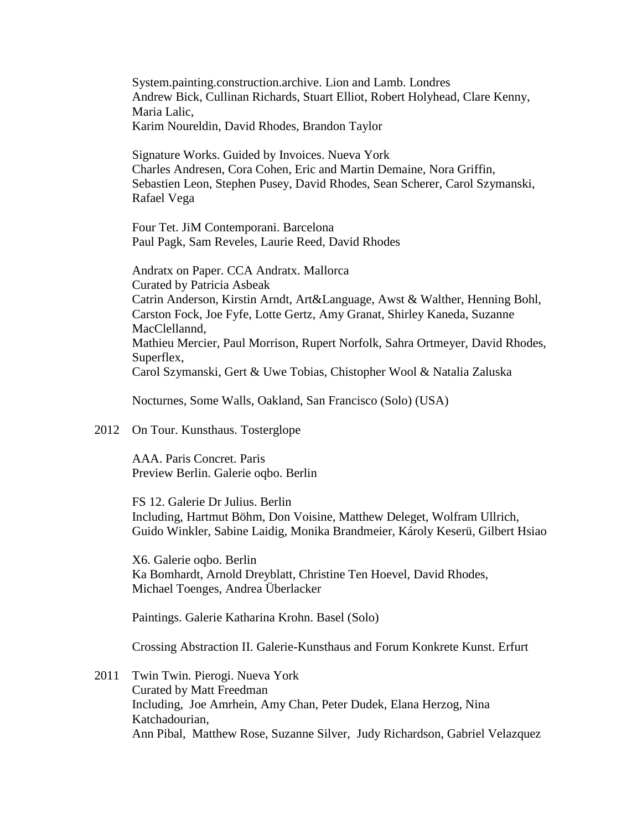System.painting.construction.archive. Lion and Lamb. Londres Andrew Bick, Cullinan Richards, Stuart Elliot, Robert Holyhead, Clare Kenny, Maria Lalic, Karim Noureldin, David Rhodes, Brandon Taylor

Signature Works. Guided by Invoices. Nueva York Charles Andresen, Cora Cohen, Eric and Martin Demaine, Nora Griffin, Sebastien Leon, Stephen Pusey, David Rhodes, Sean Scherer, Carol Szymanski, Rafael Vega

Four Tet. JiM Contemporani. Barcelona Paul Pagk, Sam Reveles, Laurie Reed, David Rhodes

Andratx on Paper. CCA Andratx. Mallorca Curated by Patricia Asbeak Catrin Anderson, Kirstin Arndt, Art&Language, Awst & Walther, Henning Bohl, Carston Fock, Joe Fyfe, Lotte Gertz, Amy Granat, Shirley Kaneda, Suzanne MacClellannd, Mathieu Mercier, Paul Morrison, Rupert Norfolk, Sahra Ortmeyer, David Rhodes, Superflex, Carol Szymanski, Gert & Uwe Tobias, Chistopher Wool & Natalia Zaluska

Nocturnes, Some Walls, Oakland, San Francisco (Solo) (USA)

#### 2012 On Tour. Kunsthaus. Tosterglope

AAA. Paris Concret. Paris Preview Berlin. Galerie oqbo. Berlin

FS 12. Galerie Dr Julius. Berlin Including, Hartmut Böhm, Don Voisine, Matthew Deleget, Wolfram Ullrich, Guido Winkler, Sabine Laidig, Monika Brandmeier, Károly Keserü, Gilbert Hsiao

X6. Galerie oqbo. Berlin Ka Bomhardt, Arnold Dreyblatt, Christine Ten Hoevel, David Rhodes, Michael Toenges, Andrea Überlacker

Paintings. Galerie Katharina Krohn. Basel (Solo)

Crossing Abstraction II. Galerie-Kunsthaus and Forum Konkrete Kunst. Erfurt

2011 Twin Twin. Pierogi. Nueva York Curated by Matt Freedman Including, Joe Amrhein, Amy Chan, Peter Dudek, Elana Herzog, Nina Katchadourian, Ann Pibal, Matthew Rose, Suzanne Silver, Judy Richardson, Gabriel Velazquez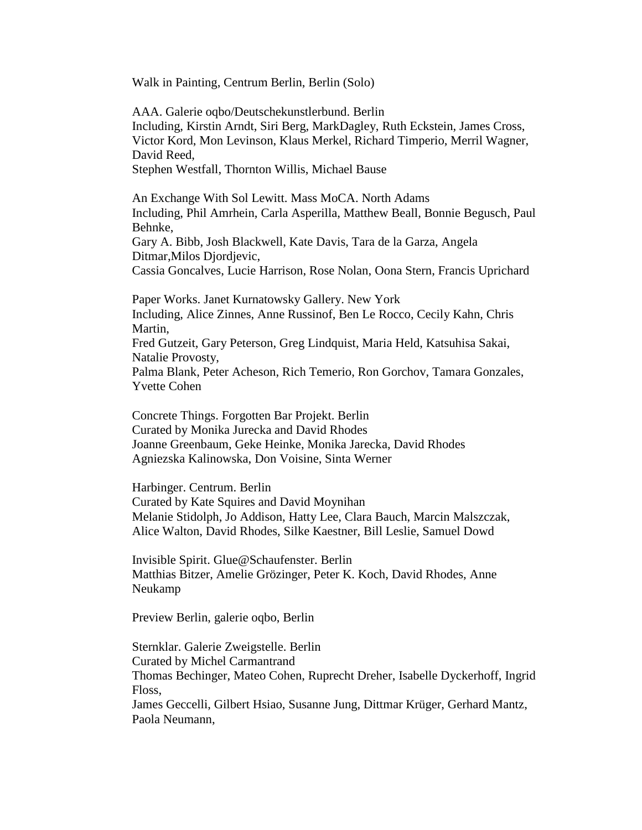Walk in Painting, Centrum Berlin, Berlin (Solo)

AAA. Galerie oqbo/Deutschekunstlerbund. Berlin Including, Kirstin Arndt, Siri Berg, MarkDagley, Ruth Eckstein, James Cross, Victor Kord, Mon Levinson, Klaus Merkel, Richard Timperio, Merril Wagner, David Reed,

Stephen Westfall, Thornton Willis, Michael Bause

An Exchange With Sol Lewitt. Mass MoCA. North Adams Including, Phil Amrhein, Carla Asperilla, Matthew Beall, Bonnie Begusch, Paul Behnke,

Gary A. Bibb, Josh Blackwell, Kate Davis, Tara de la Garza, Angela Ditmar,Milos Djordjevic,

Cassia Goncalves, Lucie Harrison, Rose Nolan, Oona Stern, Francis Uprichard

Paper Works. Janet Kurnatowsky Gallery. New York Including, Alice Zinnes, Anne Russinof, Ben Le Rocco, Cecily Kahn, Chris Martin, Fred Gutzeit, Gary Peterson, Greg Lindquist, Maria Held, Katsuhisa Sakai, Natalie Provosty, Palma Blank, Peter Acheson, Rich Temerio, Ron Gorchov, Tamara Gonzales, Yvette Cohen

Concrete Things. Forgotten Bar Projekt. Berlin Curated by Monika Jurecka and David Rhodes Joanne Greenbaum, Geke Heinke, Monika Jarecka, David Rhodes Agniezska Kalinowska, Don Voisine, Sinta Werner

Harbinger. Centrum. Berlin Curated by Kate Squires and David Moynihan Melanie Stidolph, Jo Addison, Hatty Lee, Clara Bauch, Marcin Malszczak, Alice Walton, David Rhodes, Silke Kaestner, Bill Leslie, Samuel Dowd

Invisible Spirit. Glue@Schaufenster. Berlin Matthias Bitzer, Amelie Grözinger, Peter K. Koch, David Rhodes, Anne Neukamp

Preview Berlin, galerie oqbo, Berlin

Sternklar. Galerie Zweigstelle. Berlin Curated by Michel Carmantrand Thomas Bechinger, Mateo Cohen, Ruprecht Dreher, Isabelle Dyckerhoff, Ingrid Floss,

James Geccelli, Gilbert Hsiao, Susanne Jung, Dittmar Krüger, Gerhard Mantz, Paola Neumann,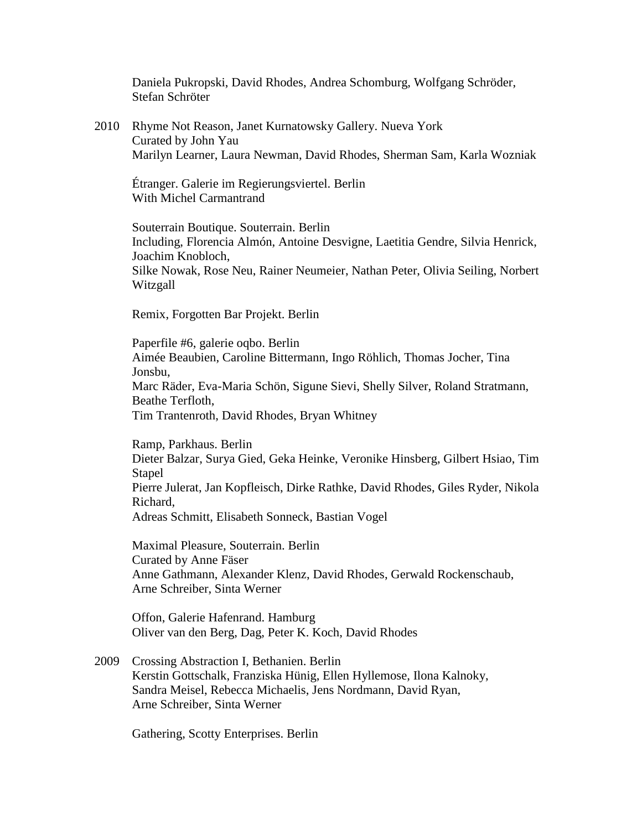Daniela Pukropski, David Rhodes, Andrea Schomburg, Wolfgang Schröder, Stefan Schröter

2010 Rhyme Not Reason, Janet Kurnatowsky Gallery. Nueva York Curated by John Yau Marilyn Learner, Laura Newman, David Rhodes, Sherman Sam, Karla Wozniak

Étranger. Galerie im Regierungsviertel. Berlin With Michel Carmantrand

Souterrain Boutique. Souterrain. Berlin Including, Florencia Almón, Antoine Desvigne, Laetitia Gendre, Silvia Henrick, Joachim Knobloch, Silke Nowak, Rose Neu, Rainer Neumeier, Nathan Peter, Olivia Seiling, Norbert Witzgall

Remix, Forgotten Bar Projekt. Berlin

Paperfile #6, galerie oqbo. Berlin Aimée Beaubien, Caroline Bittermann, Ingo Röhlich, Thomas Jocher, Tina Jonsbu, Marc Räder, Eva-Maria Schön, Sigune Sievi, Shelly Silver, Roland Stratmann, Beathe Terfloth, Tim Trantenroth, David Rhodes, Bryan Whitney

Ramp, Parkhaus. Berlin Dieter Balzar, Surya Gied, Geka Heinke, Veronike Hinsberg, Gilbert Hsiao, Tim **Stapel** Pierre Julerat, Jan Kopfleisch, Dirke Rathke, David Rhodes, Giles Ryder, Nikola Richard, Adreas Schmitt, Elisabeth Sonneck, Bastian Vogel

Maximal Pleasure, Souterrain. Berlin Curated by Anne Fäser Anne Gathmann, Alexander Klenz, David Rhodes, Gerwald Rockenschaub, Arne Schreiber, Sinta Werner

Offon, Galerie Hafenrand. Hamburg Oliver van den Berg, Dag, Peter K. Koch, David Rhodes

2009 Crossing Abstraction I, Bethanien. Berlin Kerstin Gottschalk, Franziska Hünig, Ellen Hyllemose, Ilona Kalnoky, Sandra Meisel, Rebecca Michaelis, Jens Nordmann, David Ryan, Arne Schreiber, Sinta Werner

Gathering, Scotty Enterprises. Berlin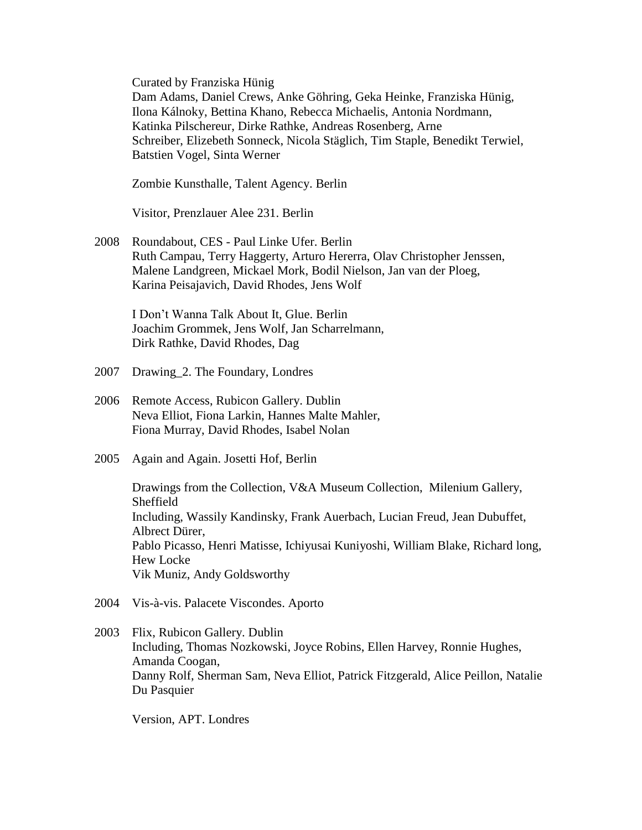Curated by Franziska Hünig

Dam Adams, Daniel Crews, Anke Göhring, Geka Heinke, Franziska Hünig, Ilona Kálnoky, Bettina Khano, Rebecca Michaelis, Antonia Nordmann, Katinka Pilschereur, Dirke Rathke, Andreas Rosenberg, Arne Schreiber, Elizebeth Sonneck, Nicola Stäglich, Tim Staple, Benedikt Terwiel, Batstien Vogel, Sinta Werner

Zombie Kunsthalle, Talent Agency. Berlin

Visitor, Prenzlauer Alee 231. Berlin

2008 Roundabout, CES - Paul Linke Ufer. Berlin Ruth Campau, Terry Haggerty, Arturo Hererra, Olav Christopher Jenssen, Malene Landgreen, Mickael Mork, Bodil Nielson, Jan van der Ploeg, Karina Peisajavich, David Rhodes, Jens Wolf

I Don't Wanna Talk About It, Glue. Berlin Joachim Grommek, Jens Wolf, Jan Scharrelmann, Dirk Rathke, David Rhodes, Dag

- 2007 Drawing\_2. The Foundary, Londres
- 2006 Remote Access, Rubicon Gallery. Dublin Neva Elliot, Fiona Larkin, Hannes Malte Mahler, Fiona Murray, David Rhodes, Isabel Nolan
- 2005 Again and Again. Josetti Hof, Berlin

Drawings from the Collection, V&A Museum Collection, Milenium Gallery, Sheffield Including, Wassily Kandinsky, Frank Auerbach, Lucian Freud, Jean Dubuffet, Albrect Dürer, Pablo Picasso, Henri Matisse, Ichiyusai Kuniyoshi, William Blake, Richard long, Hew Locke Vik Muniz, Andy Goldsworthy

- 2004 Vis-à-vis. Palacete Viscondes. Aporto
- 2003 Flix, Rubicon Gallery. Dublin Including, Thomas Nozkowski, Joyce Robins, Ellen Harvey, Ronnie Hughes, Amanda Coogan, Danny Rolf, Sherman Sam, Neva Elliot, Patrick Fitzgerald, Alice Peillon, Natalie Du Pasquier

Version, APT. Londres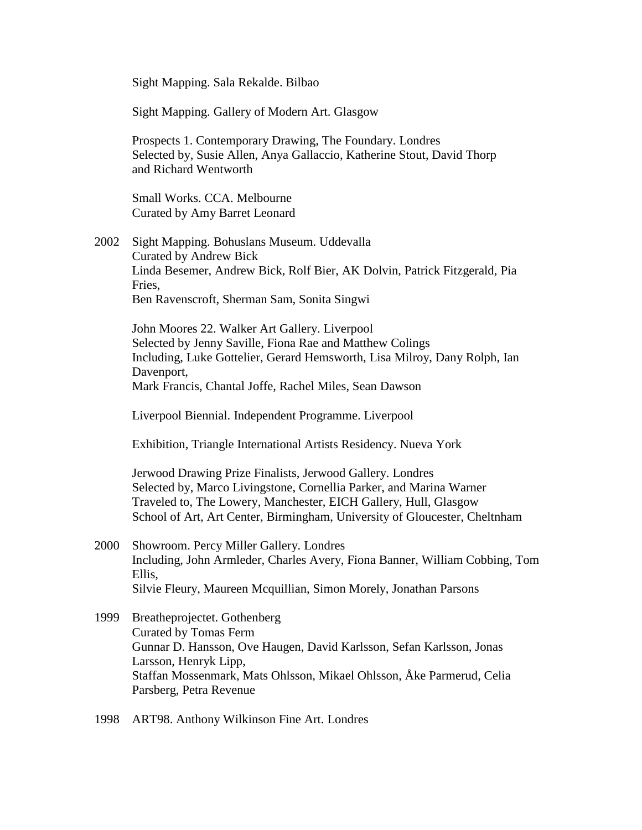Sight Mapping. Sala Rekalde. Bilbao

Sight Mapping. Gallery of Modern Art. Glasgow

Prospects 1. Contemporary Drawing, The Foundary. Londres Selected by, Susie Allen, Anya Gallaccio, Katherine Stout, David Thorp and Richard Wentworth

Small Works. CCA. Melbourne Curated by Amy Barret Leonard

2002 Sight Mapping. Bohuslans Museum. Uddevalla Curated by Andrew Bick Linda Besemer, Andrew Bick, Rolf Bier, AK Dolvin, Patrick Fitzgerald, Pia Fries, Ben Ravenscroft, Sherman Sam, Sonita Singwi

John Moores 22. Walker Art Gallery. Liverpool Selected by Jenny Saville, Fiona Rae and Matthew Colings Including, Luke Gottelier, Gerard Hemsworth, Lisa Milroy, Dany Rolph, Ian Davenport, Mark Francis, Chantal Joffe, Rachel Miles, Sean Dawson

Liverpool Biennial. Independent Programme. Liverpool

Exhibition, Triangle International Artists Residency. Nueva York

Jerwood Drawing Prize Finalists, Jerwood Gallery. Londres Selected by, Marco Livingstone, Cornellia Parker, and Marina Warner Traveled to, The Lowery, Manchester, EICH Gallery, Hull, Glasgow School of Art, Art Center, Birmingham, University of Gloucester, Cheltnham

- 2000 Showroom. Percy Miller Gallery. Londres Including, John Armleder, Charles Avery, Fiona Banner, William Cobbing, Tom Ellis, Silvie Fleury, Maureen Mcquillian, Simon Morely, Jonathan Parsons
- 1999 Breatheprojectet. Gothenberg Curated by Tomas Ferm Gunnar D. Hansson, Ove Haugen, David Karlsson, Sefan Karlsson, Jonas Larsson, Henryk Lipp, Staffan Mossenmark, Mats Ohlsson, Mikael Ohlsson, Åke Parmerud, Celia Parsberg, Petra Revenue

1998 ART98. Anthony Wilkinson Fine Art. Londres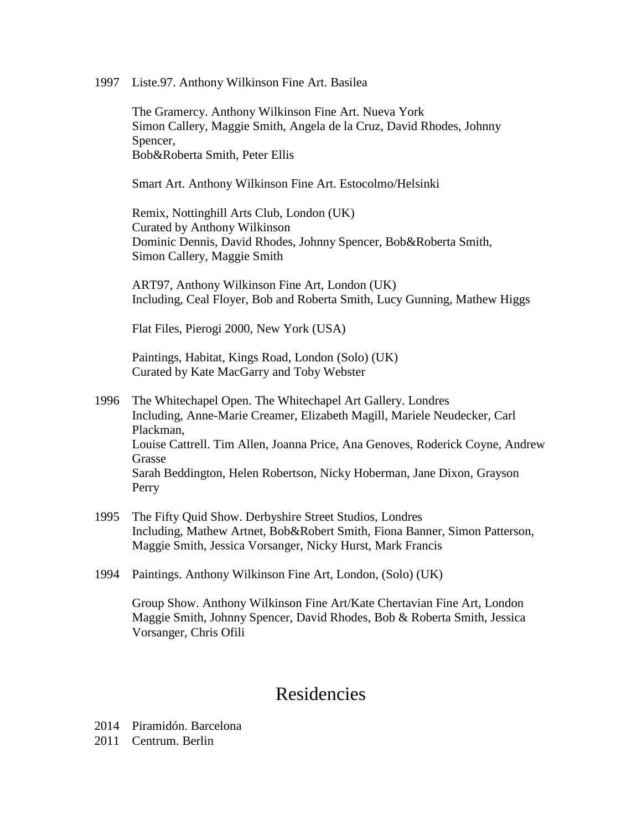1997 Liste.97. Anthony Wilkinson Fine Art. Basilea

The Gramercy. Anthony Wilkinson Fine Art. Nueva York Simon Callery, Maggie Smith, Angela de la Cruz, David Rhodes, Johnny Spencer, Bob&Roberta Smith, Peter Ellis

Smart Art. Anthony Wilkinson Fine Art. Estocolmo/Helsinki

Remix, Nottinghill Arts Club, London (UK) Curated by Anthony Wilkinson Dominic Dennis, David Rhodes, Johnny Spencer, Bob&Roberta Smith, Simon Callery, Maggie Smith

ART97, Anthony Wilkinson Fine Art, London (UK) Including, Ceal Floyer, Bob and Roberta Smith, Lucy Gunning, Mathew Higgs

Flat Files, Pierogi 2000, New York (USA)

Paintings, Habitat, Kings Road, London (Solo) (UK) Curated by Kate MacGarry and Toby Webster

- 1996 The Whitechapel Open. The Whitechapel Art Gallery. Londres Including, Anne-Marie Creamer, Elizabeth Magill, Mariele Neudecker, Carl Plackman, Louise Cattrell. Tim Allen, Joanna Price, Ana Genoves, Roderick Coyne, Andrew Grasse Sarah Beddington, Helen Robertson, Nicky Hoberman, Jane Dixon, Grayson Perry
- 1995 The Fifty Quid Show. Derbyshire Street Studios, Londres Including, Mathew Artnet, Bob&Robert Smith, Fiona Banner, Simon Patterson, Maggie Smith, Jessica Vorsanger, Nicky Hurst, Mark Francis
- 1994 Paintings. Anthony Wilkinson Fine Art, London, (Solo) (UK)

Group Show. Anthony Wilkinson Fine Art/Kate Chertavian Fine Art, London Maggie Smith, Johnny Spencer, David Rhodes, Bob & Roberta Smith, Jessica Vorsanger, Chris Ofili

### Residencies

2014 Piramidón. Barcelona

2011 Centrum. Berlin